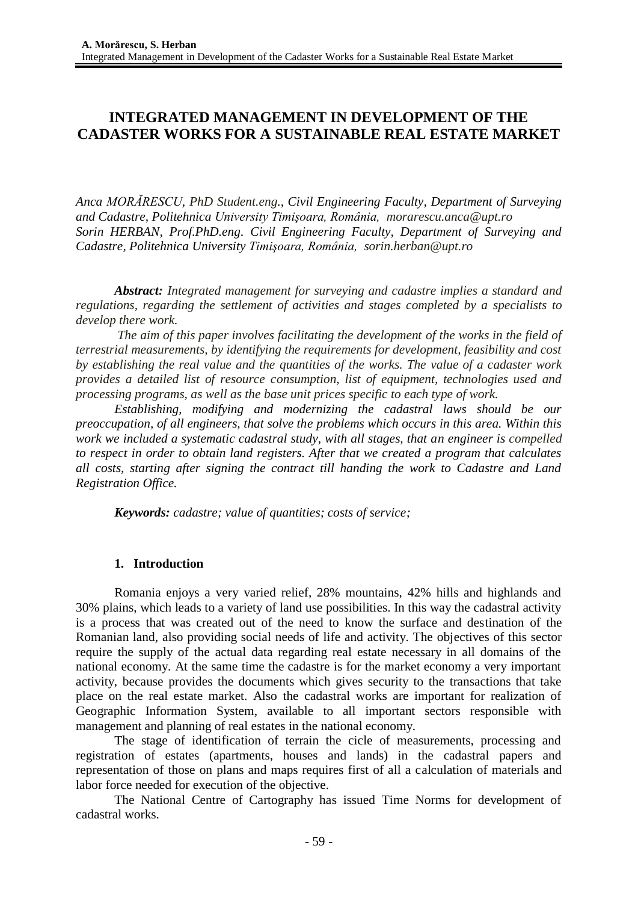# **INTEGRATED MANAGEMENT IN DEVELOPMENT OF THE CADASTER WORKS FOR A SUSTAINABLE REAL ESTATE MARKET**

*Anca MORĂRESCU, PhD Student.eng., Civil Engineering Faculty, Department of Surveying and Cadastre, Politehnica University Timişoara, România, [morarescu.anca@upt.ro](mailto:morarescu.anca@upt.ro) Sorin HERBAN, Prof.PhD.eng. Civil Engineering Faculty, Department of Surveying and Cadastre, Politehnica University Timişoara, România, [sorin.herban@upt.ro](mailto:sorin.herban@upt.ro)*

*Abstract: Integrated management for surveying and cadastre implies a standard and regulations, regarding the settlement of activities and stages completed by a specialists to develop there work.*

*The aim of this paper involves facilitating the development of the works in the field of terrestrial measurements, by identifying the requirements for development, feasibility and cost by establishing the real value and the quantities of the works. The value of a cadaster work provides a detailed list of resource consumption, list of equipment, technologies used and processing programs, as well as the base unit prices specific to each type of work.*

*Establishing, modifying and modernizing the cadastral laws should be our preoccupation, of all engineers, that solve the problems which occurs in this area. Within this work we included a systematic cadastral study, with all stages, that an engineer is compelled to respect in order to obtain land registers. After that we created a program that calculates all costs, starting after signing the contract till handing the work to Cadastre and Land Registration Office.*

*Keywords: cadastre; value of quantities; costs of service;*

# **1. Introduction**

Romania enjoys a very varied relief, 28% mountains, 42% hills and highlands and 30% plains, which leads to a variety of land use possibilities. In this way the cadastral activity is a process that was created out of the need to know the surface and destination of the Romanian land, also providing social needs of life and activity. The objectives of this sector require the supply of the actual data regarding real estate necessary in all domains of the national economy. At the same time the cadastre is for the market economy a very important activity, because provides the documents which gives security to the transactions that take place on the real estate market. Also the cadastral works are important for realization of Geographic Information System, available to all important sectors responsible with management and planning of real estates in the national economy.

The stage of identification of terrain the cicle of measurements, processing and registration of estates (apartments, houses and lands) in the cadastral papers and representation of those on plans and maps requires first of all a calculation of materials and labor force needed for execution of the objective.

The National Centre of Cartography has issued Time Norms for development of cadastral works.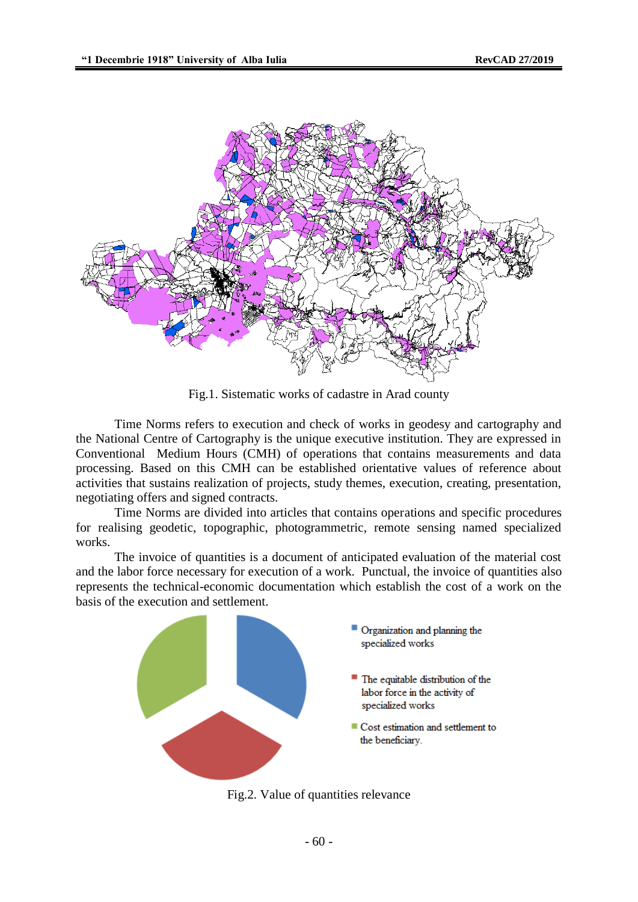

Fig.1. Sistematic works of cadastre in Arad county

Time Norms refers to execution and check of works in geodesy and cartography and the National Centre of Cartography is the unique executive institution. They are expressed in Conventional Medium Hours (CMH) of operations that contains measurements and data processing. Based on this CMH can be established orientative values of reference about activities that sustains realization of projects, study themes, execution, creating, presentation, negotiating offers and signed contracts.

Time Norms are divided into articles that contains operations and specific procedures for realising geodetic, topographic, photogrammetric, remote sensing named specialized works.

The invoice of quantities is a document of anticipated evaluation of the material cost and the labor force necessary for execution of a work. Punctual, the invoice of quantities also represents the technical-economic documentation which establish the cost of a work on the basis of the execution and settlement.



Fig.2. Value of quantities relevance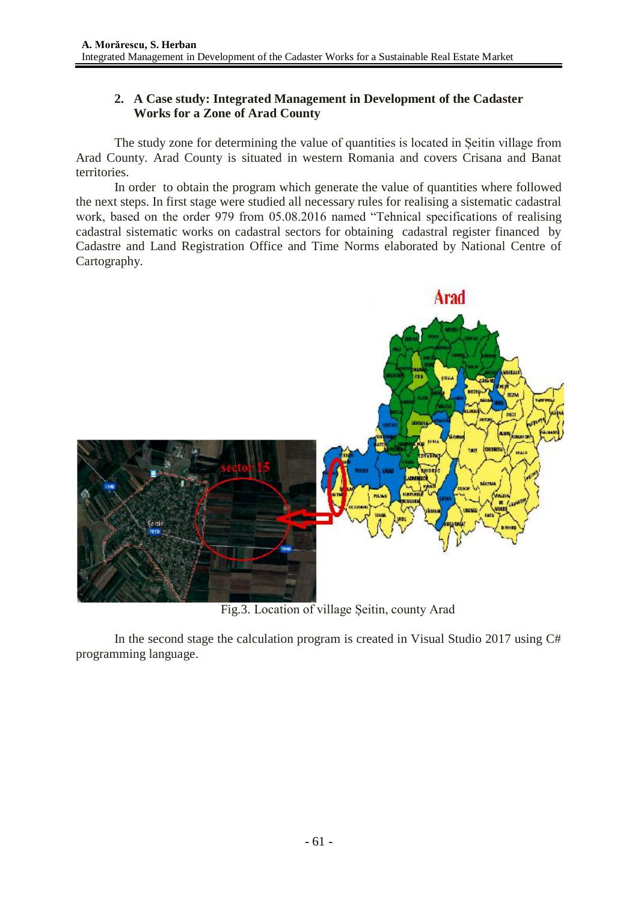# **2. A Case study: Integrated Management in Development of the Cadaster Works for a Zone of Arad County**

The study zone for determining the value of quantities is located in Șeitin village from Arad County. Arad County is situated in western Romania and covers Crisana and Banat territories.

In order to obtain the program which generate the value of quantities where followed the next steps. In first stage were studied all necessary rules for realising a sistematic cadastral work, based on the order 979 from 05.08.2016 named "Tehnical specifications of realising cadastral sistematic works on cadastral sectors for obtaining cadastral register financed by Cadastre and Land Registration Office and Time Norms elaborated by National Centre of Cartography.



Fig.3. Location of village Șeitin, county Arad

In the second stage the calculation program is created in Visual Studio 2017 using C# programming language.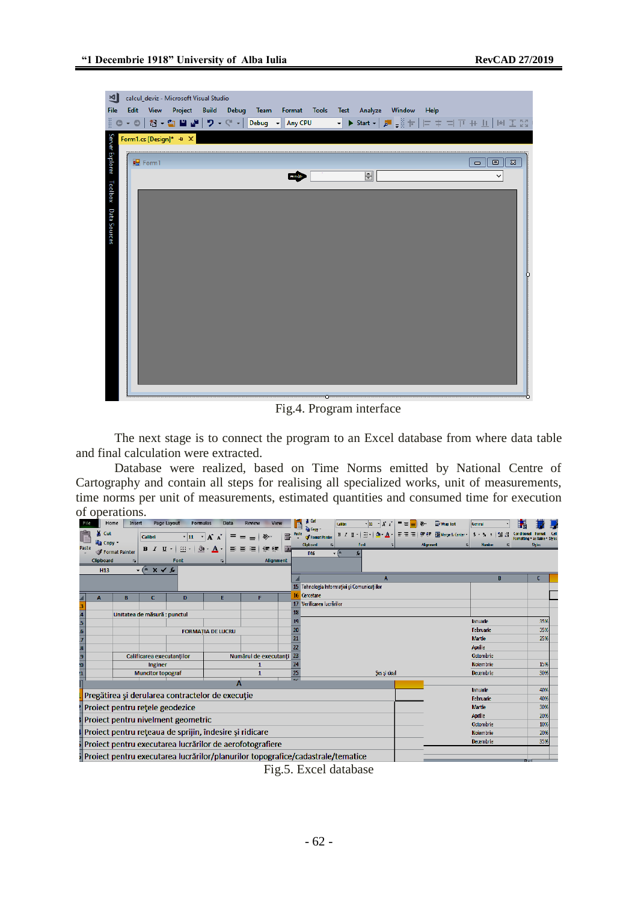| ⊠∣<br>File<br>ें ०                   | Edit |              | calcul_deviz - Microsoft Visual Studio |  | - ◎   舒 - ✿ 〓 〓   <mark>9 - ୯ -   Debug -  </mark> Any CPU |  |                         | View Project Build Debug Team Format Tools Test Analyze Window<br>▔▔▔▘ <mark>▶</mark> Start - │ ♬ –▒ ┾ │ ⊨ ‡ =i   Ti ++ ⊥ │  ☆  エ ∑े | Help |                                                        |          |   |
|--------------------------------------|------|--------------|----------------------------------------|--|------------------------------------------------------------|--|-------------------------|--------------------------------------------------------------------------------------------------------------------------------------|------|--------------------------------------------------------|----------|---|
| Server Explorer Toolbox Data Sources |      | <b>Porm1</b> | Form1.cs [Design]* $\pm \times$        |  | reite                                                      |  | $\overline{\mathbf{H}}$ |                                                                                                                                      |      | $\blacksquare$<br>$\qquad \qquad \Box$<br>$\checkmark$ | $\Sigma$ |   |
|                                      |      |              |                                        |  |                                                            |  |                         |                                                                                                                                      |      |                                                        |          | þ |
|                                      |      |              |                                        |  |                                                            |  |                         |                                                                                                                                      |      |                                                        |          |   |

Fig.4. Program interface

The next stage is to connect the program to an Excel database from where data table and final calculation were extracted.

Database were realized, based on Time Norms emitted by National Centre of Cartography and contain all steps for realising all specialized works, unit of measurements, time norms per unit of measurements, estimated quantities and consumed time for execution of operations.

|                                                          | Home                                                                                                | Insert |                              | Page Layout                                      | Data<br><b>Formulas</b>   |                       | Review   | View          |   |                      | ⊸ Cut                                                 | Calibri                     |                     | יני µי          |    |  | $\equiv$         |                              | 雷 Wrap Text    |     | General                  |              |        |                                          |  |
|----------------------------------------------------------|-----------------------------------------------------------------------------------------------------|--------|------------------------------|--------------------------------------------------|---------------------------|-----------------------|----------|---------------|---|----------------------|-------------------------------------------------------|-----------------------------|---------------------|-----------------|----|--|------------------|------------------------------|----------------|-----|--------------------------|--------------|--------|------------------------------------------|--|
|                                                          | ¼ Cut<br><b>Ea</b> Copy                                                                             |        | Calibri                      | $\cdot$ 11                                       | $\mathbf{A}$ $\mathbf{A}$ | $\equiv$<br>$\equiv$  | $\equiv$ | $\mathcal{D}$ | 冒 |                      | <b>E</b> Copy<br><b>S</b> Format Painter<br>Clipboard |                             | $H/I$ $T$ -<br>Font | $\frac{1}{2}$ . | А. |  |                  | 朝着 南海 高い<br><b>Alignment</b> | Merge & Center | 局   | $S - Y$<br><b>Number</b> | $\mathbf{I}$ | $+9.9$ | Formatting * as Table * Style:<br>Styles |  |
| Paste                                                    | Format Painter                                                                                      |        | $B$ $I$ $U$ $\sim$           | $\mathbb{H}$ $\gamma$                            | ⇘<br>A                    | まま                    |          | 復建            | 醒 |                      | D <sub>16</sub>                                       | $\mathbf{v}$ ( $\mathbf{v}$ |                     |                 |    |  |                  |                              |                |     |                          |              |        |                                          |  |
|                                                          | <b>Clipboard</b>                                                                                    | 履      |                              | Font                                             | 亙                         |                       |          | Alignment     |   |                      |                                                       |                             |                     |                 |    |  |                  |                              |                |     |                          |              |        |                                          |  |
|                                                          | <b>H13</b>                                                                                          |        | $-(x \vee f)$                |                                                  |                           |                       |          |               |   |                      |                                                       |                             |                     |                 |    |  |                  |                              |                |     |                          |              |        |                                          |  |
|                                                          |                                                                                                     |        |                              |                                                  |                           |                       |          |               |   |                      |                                                       |                             |                     |                 |    |  |                  |                              |                |     |                          |              | R      |                                          |  |
|                                                          |                                                                                                     |        |                              |                                                  |                           |                       |          |               |   |                      | 15 Tehnologia Informației și Comunicațiilor           |                             |                     |                 |    |  |                  |                              |                |     |                          |              |        |                                          |  |
|                                                          | A                                                                                                   | B      | c                            | D                                                | E                         |                       | F        |               |   | 17                   | <b>Cercetare</b><br>Verificarea lucrărilor            |                             |                     |                 |    |  |                  |                              |                |     |                          |              |        |                                          |  |
|                                                          |                                                                                                     |        |                              |                                                  |                           |                       |          |               |   | 18                   |                                                       |                             |                     |                 |    |  |                  |                              |                |     |                          |              |        |                                          |  |
|                                                          |                                                                                                     |        | Unitatea de măsură : punctul |                                                  |                           |                       |          |               |   |                      |                                                       |                             |                     |                 |    |  |                  |                              |                |     | lanuarie                 |              |        | 35%                                      |  |
|                                                          |                                                                                                     |        |                              |                                                  | <b>FORMATIA DE LUCRU</b>  |                       |          |               |   |                      |                                                       |                             |                     |                 |    |  | <b>Tebruarie</b> |                              |                | 35% |                          |              |        |                                          |  |
|                                                          |                                                                                                     |        |                              |                                                  |                           |                       |          |               |   | 21                   | <b>Martie</b>                                         |                             |                     |                 |    |  |                  | 25%                          |                |     |                          |              |        |                                          |  |
|                                                          |                                                                                                     |        |                              |                                                  |                           |                       |          |               |   | 22                   |                                                       |                             |                     |                 |    |  |                  |                              |                |     | Aprilie                  |              |        |                                          |  |
|                                                          |                                                                                                     |        | Calificarea executantilor    |                                                  |                           | Numărul de executanti |          |               |   |                      |                                                       |                             |                     |                 |    |  |                  |                              |                |     | Octombric                |              |        |                                          |  |
|                                                          | $\frac{4}{5}$ $\frac{5}{6}$ $\frac{6}{7}$ $\frac{8}{9}$ $\frac{9}{0}$ $\frac{0}{1}$<br>Inginer<br>1 |        |                              |                                                  |                           |                       |          |               |   |                      |                                                       |                             |                     |                 |    |  |                  | <b>Noiembrie</b>             |                |     | 15%                      |              |        |                                          |  |
| <b>Muncitor topograf</b><br>1                            |                                                                                                     |        |                              |                                                  |                           |                       |          |               |   | 25<br>$\overline{a}$ | Ses si deal                                           |                             |                     |                 |    |  | Decembrie        |                              |                | 30% |                          |              |        |                                          |  |
|                                                          |                                                                                                     |        |                              |                                                  |                           |                       |          |               |   |                      |                                                       |                             |                     |                 |    |  |                  |                              |                |     |                          |              |        |                                          |  |
|                                                          |                                                                                                     |        |                              | Pregătirea și derularea contractelor de execuție |                           |                       |          |               |   |                      |                                                       |                             |                     |                 |    |  |                  |                              |                |     | lanuarie<br>Februarie    |              |        | 40%<br>40%                               |  |
|                                                          |                                                                                                     |        |                              |                                                  |                           |                       |          |               |   |                      |                                                       |                             |                     |                 |    |  | <b>Martie</b>    |                              |                | 30% |                          |              |        |                                          |  |
|                                                          | Project pentru retele geodezice                                                                     |        |                              |                                                  |                           |                       |          |               |   |                      |                                                       |                             |                     |                 |    |  |                  |                              |                |     | Aprille                  |              |        | 20%                                      |  |
| Proiect pentru nivelment geometric                       |                                                                                                     |        |                              |                                                  |                           |                       |          |               |   |                      |                                                       |                             |                     |                 |    |  |                  |                              |                |     | Octombrie                |              |        | 10%                                      |  |
| Proiect pentru rețeaua de sprijin, îndesire și ridicare  |                                                                                                     |        |                              |                                                  |                           |                       |          |               |   |                      |                                                       |                             |                     |                 |    |  |                  |                              |                |     | Noiembrie                |              |        | 20%                                      |  |
| Proiect pentru executarea lucrărilor de aerofotografiere |                                                                                                     |        |                              |                                                  |                           |                       |          |               |   |                      |                                                       |                             |                     |                 |    |  |                  |                              |                |     | Decembrie                |              |        | 35%                                      |  |
|                                                          | Project pentru executarea lucrărilor/planurilor topografice/cadastrale/tematice                     |        |                              |                                                  |                           |                       |          |               |   |                      |                                                       |                             |                     |                 |    |  |                  |                              |                |     |                          |              |        |                                          |  |
|                                                          |                                                                                                     |        |                              |                                                  |                           |                       |          |               |   |                      |                                                       |                             |                     |                 |    |  |                  |                              |                |     |                          |              |        |                                          |  |

Fig.5. Excel database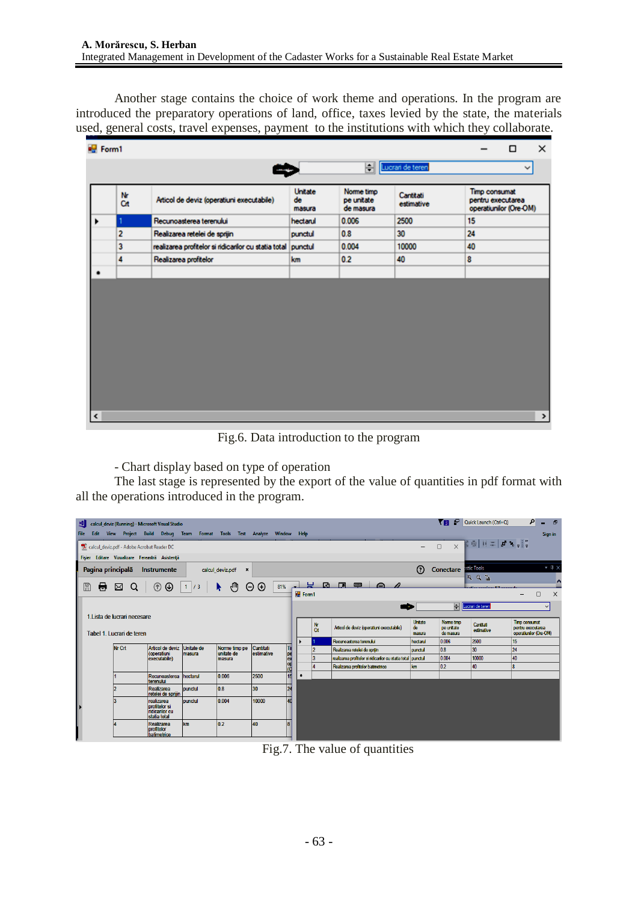Another stage contains the choice of work theme and operations. In the program are introduced the preparatory operations of land, office, taxes levied by the state, the materials used, general costs, travel expenses, payment to the institutions with which they collaborate.

| <b>Pull</b> Form1 |                |                                                              |                                |                                       |                         |                                                              | п | ×    |  |  |  |
|-------------------|----------------|--------------------------------------------------------------|--------------------------------|---------------------------------------|-------------------------|--------------------------------------------------------------|---|------|--|--|--|
|                   |                |                                                              |                                | H                                     | Lucrari de teren        |                                                              |   |      |  |  |  |
|                   | Nr<br>Cit      | Articol de deviz (operatiuni executabile)                    | <b>Unitate</b><br>de<br>masura | Norme timp<br>pe unitate<br>de masura | Cantitati<br>estimative | Timp consumat<br>pentru executarea<br>operatiunilor (Ore-OM) |   |      |  |  |  |
|                   |                | Recunoasterea terenului                                      | hectarul                       | 0.006                                 | 2500                    | 15                                                           |   |      |  |  |  |
|                   | $\overline{2}$ | Realizarea retelei de sprijin                                | punctul                        | 0.8                                   | 30                      | 24                                                           |   |      |  |  |  |
|                   | 3              | realizarea profitelor si ridicarilor cu statia total punctul |                                | 0.004                                 | 10000                   | 40                                                           |   |      |  |  |  |
|                   | 4              | Realizarea profitelor                                        | km                             | 0.2                                   | 40                      | 8                                                            |   |      |  |  |  |
|                   |                |                                                              |                                |                                       |                         |                                                              |   |      |  |  |  |
|                   |                |                                                              |                                |                                       |                         |                                                              |   |      |  |  |  |
|                   |                |                                                              |                                |                                       |                         |                                                              |   |      |  |  |  |
|                   |                |                                                              |                                |                                       |                         |                                                              |   |      |  |  |  |
|                   |                |                                                              |                                |                                       |                         |                                                              |   |      |  |  |  |
|                   |                |                                                              |                                |                                       |                         |                                                              |   |      |  |  |  |
|                   |                |                                                              |                                |                                       |                         |                                                              |   |      |  |  |  |
|                   |                |                                                              |                                |                                       |                         |                                                              |   |      |  |  |  |
|                   |                |                                                              |                                |                                       |                         |                                                              |   |      |  |  |  |
| I٢                |                |                                                              |                                |                                       |                         |                                                              |   | $\,$ |  |  |  |

Fig.6. Data introduction to the program

- Chart display based on type of operation

The last stage is represented by the export of the value of quantities in pdf format with all the operations introduced in the program.

|                                                                                                                    | ᄳ                                                                                                                                      |                               | calcul_deviz (Running) - Microsoft Visual Studio                    |                             |                                    |                                |                 |  |           |                                                              |                         | Yв.                                   | Quick Launch (Ctrl+Q)     | ام<br>$\mathbf{d}$<br>۰.                                     |
|--------------------------------------------------------------------------------------------------------------------|----------------------------------------------------------------------------------------------------------------------------------------|-------------------------------|---------------------------------------------------------------------|-----------------------------|------------------------------------|--------------------------------|-----------------|--|-----------|--------------------------------------------------------------|-------------------------|---------------------------------------|---------------------------|--------------------------------------------------------------|
|                                                                                                                    | Edit<br>File                                                                                                                           |                               | View Project Build Debug Team Format Tools Test Analyze Window Help |                             |                                    |                                |                 |  |           |                                                              |                         |                                       |                           | Sign in                                                      |
| $\Box$<br>Calcul_deviz.pdf - Adobe Acrobat Reader DC<br>$\equiv$<br>Fișier Editare Vizualizare Fereastră Asistență |                                                                                                                                        |                               |                                                                     |                             |                                    |                                |                 |  |           |                                                              |                         |                                       |                           |                                                              |
|                                                                                                                    |                                                                                                                                        | Pagina principală Instrumente |                                                                     |                             | calcul_deviz.pdf<br>$\pmb{\times}$ |                                |                 |  |           |                                                              | (?)                     | <b>Conectare Institutions</b>         |                           | $\star$ $\uparrow$ $\times$                                  |
|                                                                                                                    | 圕<br>Θ<br>$^{\circ}$<br>$\circledcirc$<br>$\odot$<br>⊠ Q<br>1/3<br>$\mathcal{F}_{\text{full}}$<br>$81\%$ $\longrightarrow$<br>$\Theta$ |                               |                                                                     |                             |                                    |                                |                 |  |           | 圆圆甲白刀                                                        |                         |                                       | $Q_1 Q_2$ $\frac{2}{10}$  | $\overline{\phantom{a}}$<br>$\times$<br>$\Box$               |
|                                                                                                                    |                                                                                                                                        |                               |                                                                     |                             |                                    |                                |                 |  |           | <b>College</b>                                               |                         |                                       | <b>M</b> Lucrari de teren | $\check{~}$                                                  |
|                                                                                                                    | 1. Lista de lucrari necesare<br>Tabel 1 Lucrari de teren                                                                               |                               |                                                                     |                             |                                    |                                |                 |  | Nr<br>Crt | Articol de deviz (operatiuni executabile)                    | Unitate<br>de<br>masura | Norme timp<br>pe unitate<br>de masura | Cantitati<br>estimative   | Timp consumat<br>pentru executarea<br>operatiunilor (Ore-OM) |
|                                                                                                                    |                                                                                                                                        |                               |                                                                     |                             |                                    |                                |                 |  |           | Recunoasterea terenului                                      | hectarul                | 0.006                                 | 2500                      | 15                                                           |
|                                                                                                                    |                                                                                                                                        | <b>Nr Crt</b>                 | Articol de deviz<br>coperatiuni<br>executabile)                     | <b>Unitate de</b><br>masura | Norme timp pe<br>unitate de        | <b>Cantitati</b><br>estimative | Ιīι             |  |           | Realizarea retelei de soriin                                 | punctul                 | 0.8                                   | 30                        | 24                                                           |
|                                                                                                                    |                                                                                                                                        |                               |                                                                     |                             | masura                             |                                |                 |  | l3        | realizarea profitelor si ridicarilor cu statia total punctul |                         | 0.004                                 | 10000                     | 40                                                           |
|                                                                                                                    |                                                                                                                                        |                               |                                                                     |                             |                                    |                                | pe<br>Cop<br>Co |  |           | Realizarea profitelor batimetrice                            | km                      | 0.2                                   | 40                        | $\overline{\mathbf{8}}$                                      |
|                                                                                                                    |                                                                                                                                        |                               | Recunoasterea<br>terenului                                          | hectarul                    | 0.006                              | 2500                           | 15              |  |           |                                                              |                         |                                       |                           |                                                              |
|                                                                                                                    |                                                                                                                                        |                               | Realizarea<br>retelei de sprijin                                    | punctul                     | 0.8                                | 30                             | 24              |  |           |                                                              |                         |                                       |                           |                                                              |
|                                                                                                                    |                                                                                                                                        |                               | realizarea<br>profitelor si<br>ridicarilor cu<br>statia total       | punctul                     | 0.004                              | 10000                          | 40              |  |           |                                                              |                         |                                       |                           |                                                              |
|                                                                                                                    |                                                                                                                                        |                               | Realizarea<br>profitelor<br>batimetrice                             | <b>km</b>                   | 0.2                                | 40                             |                 |  |           |                                                              |                         |                                       |                           |                                                              |

Fig.7. The value of quantities